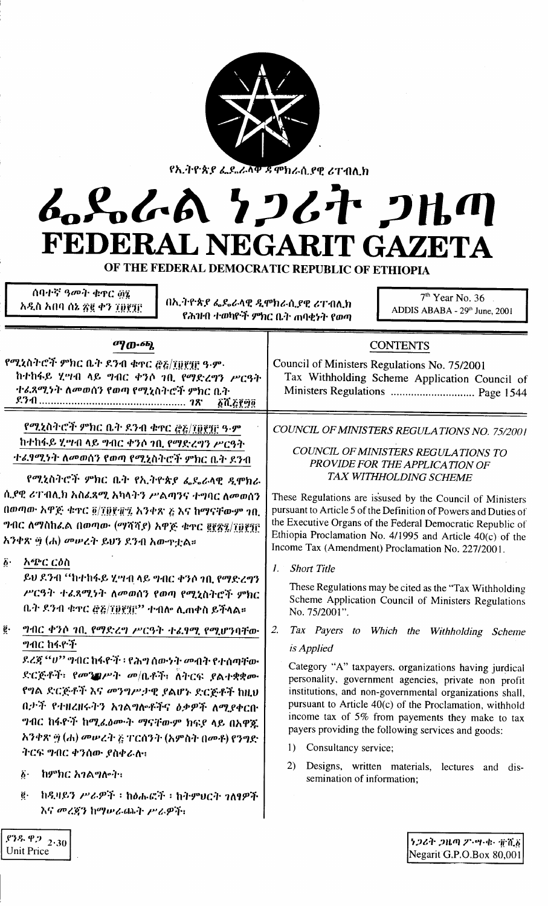| የኢትዮጵያ ፌዴሬ <u>ላ</u> ቅ ጃምክራሲያዊ ሪፐብሊክ |  |
|-------------------------------------|--|

## ራይራል *ነጋሪት ጋዜ*ጣ **FEDERAL NEGARIT GAZETA**

OF THE FEDERAL DEMOCRATIC REPUBLIC OF ETHIOPIA

*ስባተኛ ዓመት ቁ*ዋር ፴፮ *አዲ*ስ አበባ ሰኔ ጽ፪ ቀን ፲፬፻፺፫

Unit Price

በኢትዮጵያ ፌዴራላዊ ዲሞክራሲያዊ ሪፐብሊክ f ,n1NI .,'milf,:-r. *9"hc* o..} *mll<tH'* fmflJ

7'h Year No. 36 ADDIS ABABA - 29th June, 2001

| <b>ማውጫ</b>                                                                                                                                                                                                                                                                                                                                                                                                                                                                                                                                                                                                              | <b>CONTENTS</b>                                                                                                                                                                                                                                                                                                                                                                                                                                                                                                                                                                                                                                                                                                                                         |
|-------------------------------------------------------------------------------------------------------------------------------------------------------------------------------------------------------------------------------------------------------------------------------------------------------------------------------------------------------------------------------------------------------------------------------------------------------------------------------------------------------------------------------------------------------------------------------------------------------------------------|---------------------------------------------------------------------------------------------------------------------------------------------------------------------------------------------------------------------------------------------------------------------------------------------------------------------------------------------------------------------------------------------------------------------------------------------------------------------------------------------------------------------------------------------------------------------------------------------------------------------------------------------------------------------------------------------------------------------------------------------------------|
| የሚኒስትሮች ምክር ቤት ደንብ ቁዋር ፸፩/፲፱፻፺፫ ዓ.ም.<br>ከተከፋይ ሂሣብ ላይ ግብር ቀንሶ ገቢ የማድረግን ሥርዓት<br>ተፈጸሚነት ለመወሰን የወጣ የሚሂስትሮች ምክር ቤት<br><b><i>GTL&amp;P90</i></b>                                                                                                                                                                                                                                                                                                                                                                                                                                                                             | Council of Ministers Regulations No. 75/2001<br>Tax Withholding Scheme Application Council of<br>Ministers Regulations  Page 1544                                                                                                                                                                                                                                                                                                                                                                                                                                                                                                                                                                                                                       |
| የሚኒስትሮች ምክር ቤት ዶንብ ቁዋር ፸፩/፲፬፻፺፫ ዓ·ም<br>ከተከፋይ ሂሣብ ላይ ግብር ቀንሶ ገቢ የማድረግን ሥርዓት<br>ተራየሚነት ለመወሰን የወጣ የሚኒስትሮች ምክር ቤት ደንብ<br>የሚኒስትሮች ምክር ቤት የኢትዮጵያ ፌዶራላዊ ዲሞክራ<br>ሲያዊ ሪፐብሊክ አስፊጻሚ አካላትን ሥልጣንና ተግባር ለመወሰን<br>በወጣው አዋጅ ቁዋር ፬/፲፱፻፹፯ አንቀጽ ፩ እና ከማናቸውም ገቢ<br>ግብር ለማስከፊል በወጣው (ማሻሻያ) አዋጅ ቁጥር ፪፻፳፯/፲፬፻፺፫<br>አንቀጽ ፵ (ሐ) መሥረት ይህን ደንብ አውዋቷል።                                                                                                                                                                                                                                                                                              | COUNCIL OF MINISTERS REGULATIONS NO. 75/2001<br>COUNCIL OF MINISTERS REGULATIONS TO<br>PROVIDE FOR THE APPLICATION OF<br>TAX WITHHOLDING SCHEME<br>These Regulations are issused by the Council of Ministers<br>pursuant to Article 5 of the Definition of Powers and Duties of<br>the Executive Organs of the Federal Democratic Republic of<br>Ethiopia Proclamation No. 4/1995 and Article $40(c)$ of the                                                                                                                                                                                                                                                                                                                                            |
| $\vec{b}$ .<br><i>አጭር ርዕ</i> ስ<br>ይህ ደንብ ''ከተከፋይ ሂሣብ ላይ ግብር ቀንሶ ገቢ የማድረግን<br>ሥርዓት ተፈጸሚነት ለመወሰን የወጣ የሚኒስትሮች ምክር<br>ቤት ደንብ ቁዋር ፸፭/፲፱፻፺፫'' ተብሎ ሊጠቀስ ይችላል።<br>ğ.<br>ግብር ቀንሶ ገቢ የማድረግ ሥርዓት ተፈፃሚ የሚሆንባቸው<br><i>ግ</i> ብር ከፋዮች<br>ደረጃ ''ሀ'' ግብር ከፋዮች ፡ የሕግ ስውነት መብት የተሰጣቸው<br>ድርጅቶች፡ የመንገሥት መ/ቤቶች፣ ለትርፍ ያልተቋቋሙ<br>የግል ድርጅቶች እና መንግሥታዊ ያልሆኑ ድርጅቶች ከዚህ<br>በታች የተዘረዘሩትን አንልግሎቶችና ዕቃዎች ለሚያቀርቡ<br>ግብር ከፋዮች ከሚፈልሙት ማናቸውም ክፍያ ላይ በአዋጅ<br>አንቀጽ ፵ (ሐ) መሠረት ፩ ፐርሰንት (አምስት በመቶ) የንግድ<br>ትርፍ ግብር ቀንሰው ያስቀራሉ።<br>ከምክር አገልግሎት።<br>$\boldsymbol{b}$ .<br>ከዲዛይን ሥራዎች ፡ ከዕሑፎች ፡ ከትምህርት ገለፃዎች<br>$\ddot{\textbf{e}}\cdot$<br>እና መረጃን ከማሠራጨት ሥራዎች: | Income Tax (Amendment) Proclamation No. 227/2001.<br><b>Short Title</b><br>I. .<br>These Regulations may be cited as the "Tax Withholding<br>Scheme Application Council of Ministers Regulations<br>No. 75/2001".<br>2.<br>Tax Payers to Which the Withholding Scheme<br>is Applied<br>Category "A" taxpayers, organizations having jurdical<br>personality, government agencies, private non profit<br>institutions, and non-governmental organizations shall,<br>pursuant to Article 40(c) of the Proclamation, withhold<br>income tax of 5% from payements they make to tax<br>payers providing the following services and goods:<br>Consultancy service;<br>1)<br>2)<br>Designs, written materials, lectures and dis-<br>semination of information; |
| 2.30                                                                                                                                                                                                                                                                                                                                                                                                                                                                                                                                                                                                                    | うつるキ つルの ア・ツ・セ・ 市首方                                                                                                                                                                                                                                                                                                                                                                                                                                                                                                                                                                                                                                                                                                                                     |